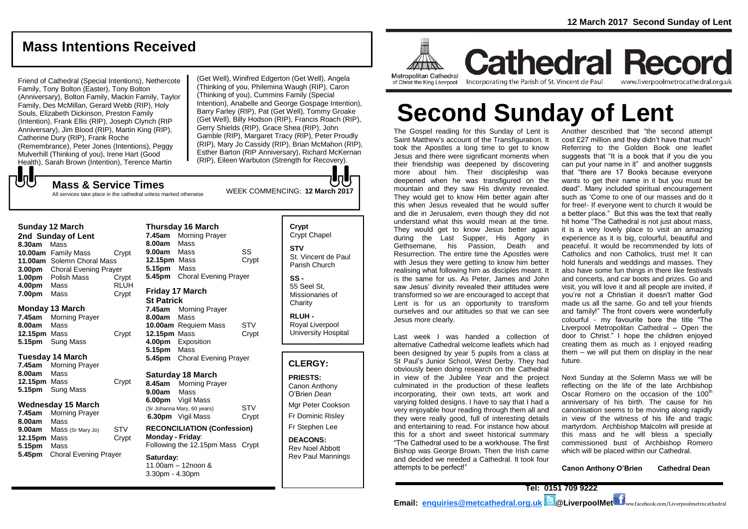# **Mass Intentions Received**

Friend of Cathedral (Special Intentions), Nethercote Family, Tony Bolton (Easter), Tony Bolton (Anniversary), Bolton Family, Mackin Family, Taylor Family, Des McMillan, Gerard Webb (RIP), Holy Souls, Elizabeth Dickinson, Preston Family (Intention), Frank Ellis (RIP), Joseph Clynch (RIP Anniversary), Jim Blood (RIP), Martin King (RIP), Catherine Dury (RIP), Frank Roche (Remembrance), Peter Jones (Intentions), Peggy Mulverhill (Thinking of you), Irene Hart (Good Health), Sarah Brown (Intention), Terence Martin

(Get Well), Winifred Edgerton (Get Well), Angela (Thinking of you, Philemina Waugh (RIP), Caron (Thinking of you), Cummins Family (Special Intention), Anabelle and George Gospage Intention), Barry Farley (RIP), Pat (Get Well), Tommy Groake (Get Well), Billy Hodson (RIP), Francis Roach (RIP), Gerry Shields (RIP), Grace Shea (RIP), John Gamble (RIP), Margaret Tracy (RIP), Peter Proudly (RIP), Mary Jo Cassidy (RIP), Brian McMahon (RIP), Esther Barton (RIP Anniversary), Richard McKernan (RIP), Eileen Warbuton (Strength for Recovery).

**UU** 

WEEK COMMENCING: **12 March <sup>2017</sup> Mass & Service Times** All services take place in the cathedral unless marked otherwise

### **Sunday 12 March**

**2nd Sunday of Lent 8.30am** Mass **10.00am** Family Mass Crypt **11.00am** Solemn Choral Mass **3.00pm** Choral Evening Prayer **1.00pm** Polish Mass Crypt **4.00pm** Mass RLUH **7.00pm** Mass Crypt

### **Monday 13 March**

**7.45am** Morning Prayer **8.00am** Mass **12.15pm** Mass Crypt **5.15pm** Sung Mass

### **Tuesday 14 March**

**7.45am** Morning Prayer **8.00am** Mass **12.15pm** Mass Crypt **5.15pm** Sung Mass

### **Wednesday 15 March**

**7.45am** Morning Prayer **8.00am** Mass **9.00am** Mass (Sr Mary Jo) STV **12.15pm** Mass Crypt **5.15pm** Mass **5.45pm** Choral Evening Prayer

### **Thursday 16 March 7.45am** Morning Prayer **8.00am** Mass **9.00am** Mass SS **12.15pm** Mass Crypt **5.15pm** Mass **5.45pm** Choral Evening Prayer **Friday 17 March**

# **St Patrick**

**7.45am** Morning Prayer **8.00am** Mass **10.00am** Requiem Mass STV **12.15pm** Mass Crypt **4.00pm** Exposition **5.15pm** Mass **5.45pm** Choral Evening Prayer

### **Saturday 18 March**

**8.45am** Morning Prayer **9.00am** Mass **6.00pm** Vigil Mass (Sr Johanna Mary, 60 years) STV **6.30pm** Vigil Mass Crypt

**RECONCILIATION (Confession) Monday - Friday**: Following the 12.15pm Mass Crypt

#### **Saturday:** 11.00am – 12noon & 3.30pm - 4.30pm

# **Crypt**  Crypt Chapel **STV** St. Vincent de Paul Parish Church **SS -**

55 Seel St, Missionaries of **Charity** 

**RLUH -** Royal Liverpool University Hospital

### **CLERGY:**

### **PRIESTS:**

Canon Anthony O'Brien *Dean* Mgr Peter Cookson Fr Dominic Risley Fr Stephen Lee

**DEACONS:** Rev Noel Abbott Rev Paul Mannings



**Cathedral Record** Incorporating the Parish of St. Vincent de Paul www.liverpoolmetrocathedral.org.uk

# **Second Sunday of Lent**

The Gospel reading for this Sunday of Lent is Saint Matthew's account of the Transfiguration. It took the Apostles a long time to get to know Jesus and there were significant moments when their friendship was deepened by discovering more about him. Their discipleship was deepened when he was transfigured on the mountain and they saw His divinity revealed. They would get to know Him better again after this when Jesus revealed that he would suffer and die in Jerusalem, even though they did not understand what this would mean at the time. They would get to know Jesus better again during the Last Supper, His Agony in Gethsemane, his Passion, Death and Resurrection. The entire time the Apostles were with Jesus they were getting to know him better realising what following him as disciples meant. It is the same for us. As Peter, James and John saw Jesus' divinity revealed their attitudes were transformed so we are encouraged to accept that Lent is for us an opportunity to transform ourselves and our attitudes so that we can see Jesus more clearly.

Last week I was handed a collection of alternative Cathedral welcome leaflets which had been designed by year 5 pupils from a class at St Paul's Junior School, West Derby. They had obviously been doing research on the Cathedral in view of the Jubilee Year and the project culminated in the production of these leaflets incorporating, their own texts, art work and varying folded designs. I have to say that I had a very enjoyable hour reading through them all and they were really good, full of interesting details and entertaining to read. For instance how about this for a short and sweet historical summary "The Cathedral used to be a workhouse. The first Bishop was George Brown. Then the Irish came and decided we needed a Cathedral. It took four attempts to be perfect!"

Another described that "the second attempt cost £27 million and they didn't have that much" Referring to the Golden Book one leaflet suggests that "It is a book that if you die you can put your name in it" and another suggests that "there are 17 Books because everyone wants to get their name in it but you must be dead". Many included spiritual encouragement such as 'Come to one of our masses and do it for free!- If everyone went to church it would be a better place." But this was the text that really hit home "The Cathedral is not just about mass, it is a very lovely place to visit an amazing experience as it is big, colourful, beautiful and peaceful. It would be recommended by lots of Catholics and non Catholics, trust me! It can hold funerals and weddings and masses. They also have some fun things in there like festivals and concerts, and car boots and prizes. Go and visit, you will love it and all people are invited, if you're not a Christian it doesn't matter God made us all the same. Go and tell your friends and family!" The front covers were wonderfully colourful - my favourite bore the title "The Liverpool Metropolitan Cathedral – Open the door to Christ." I hope the children enjoyed creating them as much as I enjoyed reading them – we will put them on display in the near future.

Next Sunday at the Solemn Mass we will be reflecting on the life of the late Archbishop Oscar Romero on the occasion of the  $100<sup>th</sup>$ anniversary of his birth. The cause for his canonisation seems to be moving along rapidly in view of the witness of his life and tragic martyrdom. Archbishop Malcolm will preside at this mass and he will bless a specially commissioned bust of Archbishop Romero which will be placed within our Cathedral.

**Canon Anthony O'Brien Cathedral Dean**